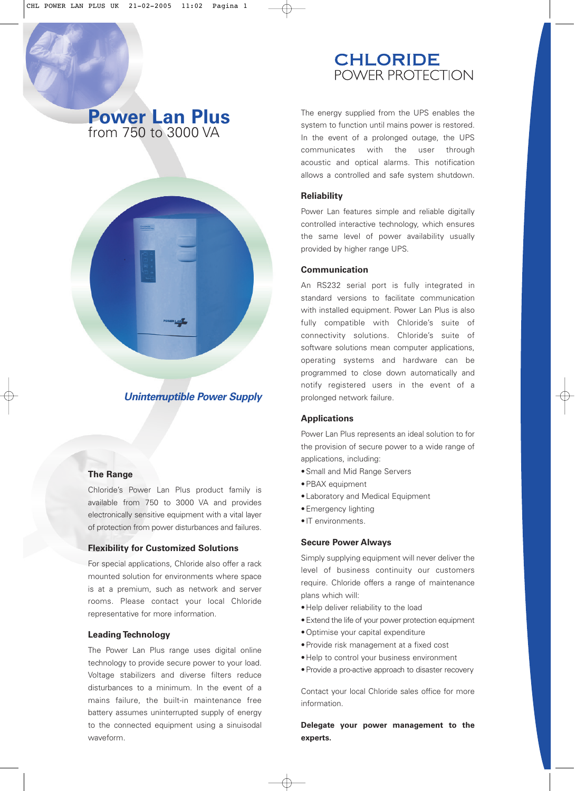## **CHLORIDE** POWER PROTECTION

# **Power Lan Plus** from 750 to 3000 VA



### *Uninterruptible Power Supply*

#### **The Range**

Chloride's Power Lan Plus product family is available from 750 to 3000 VA and provides electronically sensitive equipment with a vital layer of protection from power disturbances and failures.

#### **Flexibility for Customized Solutions**

For special applications, Chloride also offer a rack mounted solution for environments where space is at a premium, such as network and server rooms. Please contact your local Chloride representative for more information.

#### **Leading Technology**

The Power Lan Plus range uses digital online technology to provide secure power to your load. Voltage stabilizers and diverse filters reduce disturbances to a minimum. In the event of a mains failure, the built-in maintenance free battery assumes uninterrupted supply of energy to the connected equipment using a sinuisodal waveform.

The energy supplied from the UPS enables the system to function until mains power is restored. In the event of a prolonged outage, the UPS communicates with the user through acoustic and optical alarms. This notification allows a controlled and safe system shutdown.

#### **Reliability**

Power Lan features simple and reliable digitally controlled interactive technology, which ensures the same level of power availability usually provided by higher range UPS.

#### **Communication**

An RS232 serial port is fully integrated in standard versions to facilitate communication with installed equipment. Power Lan Plus is also fully compatible with Chloride's suite of connectivity solutions. Chloride's suite of software solutions mean computer applications, operating systems and hardware can be programmed to close down automatically and notify registered users in the event of a prolonged network failure.

#### **Applications**

Power Lan Plus represents an ideal solution to for the provision of secure power to a wide range of applications, including:

- •Small and Mid Range Servers
- •PBAX equipment
- •Laboratory and Medical Equipment
- •Emergency lighting
- •IT environments.

#### **Secure Power Always**

Simply supplying equipment will never deliver the level of business continuity our customers require. Chloride offers a range of maintenance plans which will:

- •Help deliver reliability to the load
- •Extend the life of your power protection equipment
- •Optimise your capital expenditure
- •Provide risk management at a fixed cost
- •Help to control your business environment
- •Provide a pro-active approach to disaster recovery

Contact your local Chloride sales office for more information.

**Delegate your power management to the experts.**